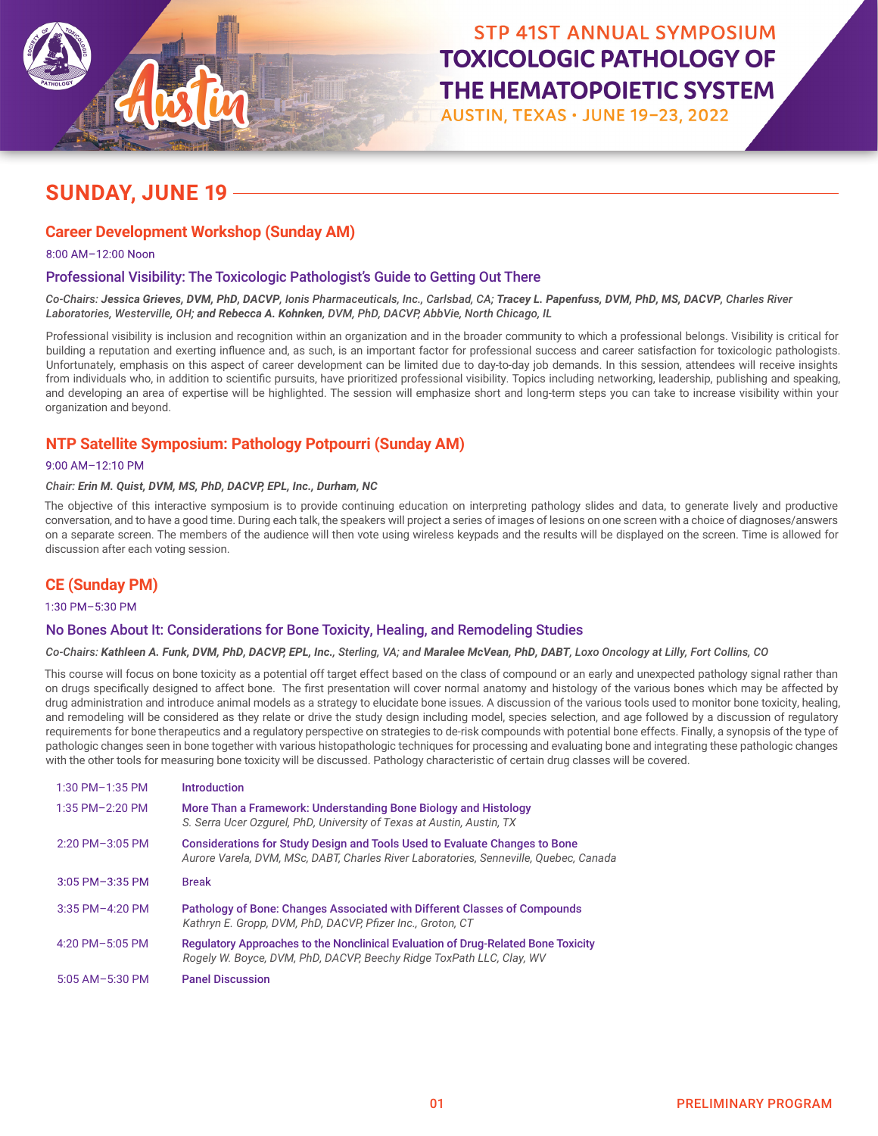

# **TOXICOLOGIC PATHOLOGY OF** THE HEMATOPOIETIC SYSTEM

AUSTIN, TEXAS · JUNE 19-23, 2022

### **SUNDAY, JUNE 19**

### **Career Development Workshop (Sunday AM)**

8:00 AM–12:00 Noon

### Professional Visibility: The Toxicologic Pathologist's Guide to Getting Out There

*Co-Chairs: Jessica Grieves, DVM, PhD, DACVP, Ionis Pharmaceuticals, Inc., Carlsbad, CA; Tracey L. Papenfuss, DVM, PhD, MS, DACVP, Charles River Laboratories, Westerville, OH; and Rebecca A. Kohnken, DVM, PhD, DACVP, AbbVie, North Chicago, IL* 

Professional visibility is inclusion and recognition within an organization and in the broader community to which a professional belongs. Visibility is critical for building a reputation and exerting influence and, as such, is an important factor for professional success and career satisfaction for toxicologic pathologists. Unfortunately, emphasis on this aspect of career development can be limited due to day-to-day job demands. In this session, attendees will receive insights from individuals who, in addition to scientific pursuits, have prioritized professional visibility. Topics including networking, leadership, publishing and speaking, and developing an area of expertise will be highlighted. The session will emphasize short and long-term steps you can take to increase visibility within your organization and beyond.

### **NTP Satellite Symposium: Pathology Potpourri (Sunday AM)**

### 9:00 AM–12:10 PM

#### *Chair: Erin M. Quist, DVM, MS, PhD, DACVP, EPL, Inc., Durham, NC*

The objective of this interactive symposium is to provide continuing education on interpreting pathology slides and data, to generate lively and productive conversation, and to have a good time. During each talk, the speakers will project a series of images of lesions on one screen with a choice of diagnoses/answers on a separate screen. The members of the audience will then vote using wireless keypads and the results will be displayed on the screen. Time is allowed for discussion after each voting session.

### **CE (Sunday PM)**

1:30 PM–5:30 PM

### No Bones About It: Considerations for Bone Toxicity, Healing, and Remodeling Studies

*Co-Chairs: Kathleen A. Funk, DVM, PhD, DACVP, EPL, Inc., Sterling, VA; and Maralee McVean, PhD, DABT, Loxo Oncology at Lilly, Fort Collins, CO*

This course will focus on bone toxicity as a potential off target effect based on the class of compound or an early and unexpected pathology signal rather than on drugs specifically designed to affect bone. The first presentation will cover normal anatomy and histology of the various bones which may be affected by drug administration and introduce animal models as a strategy to elucidate bone issues. A discussion of the various tools used to monitor bone toxicity, healing, and remodeling will be considered as they relate or drive the study design including model, species selection, and age followed by a discussion of regulatory requirements for bone therapeutics and a regulatory perspective on strategies to de-risk compounds with potential bone effects. Finally, a synopsis of the type of pathologic changes seen in bone together with various histopathologic techniques for processing and evaluating bone and integrating these pathologic changes with the other tools for measuring bone toxicity will be discussed. Pathology characteristic of certain drug classes will be covered.

| $1:30$ PM $-1:35$ PM | <b>Introduction</b>                                                                                                                                                 |
|----------------------|---------------------------------------------------------------------------------------------------------------------------------------------------------------------|
| 1:35 PM-2:20 PM      | More Than a Framework: Understanding Bone Biology and Histology<br>S. Serra Ucer Ozgurel, PhD, University of Texas at Austin, Austin, TX                            |
| $2:20$ PM $-3:05$ PM | Considerations for Study Design and Tools Used to Evaluate Changes to Bone<br>Aurore Varela, DVM, MSc, DABT, Charles River Laboratories, Senneville, Quebec, Canada |
| $3:05$ PM $-3:35$ PM | <b>Break</b>                                                                                                                                                        |
| 3:35 PM-4:20 PM      | Pathology of Bone: Changes Associated with Different Classes of Compounds<br>Kathryn E. Gropp, DVM, PhD, DACVP, Pfizer Inc., Groton, CT                             |
| 4:20 PM $-5:05$ PM   | Regulatory Approaches to the Nonclinical Evaluation of Drug-Related Bone Toxicity<br>Rogely W. Boyce, DVM, PhD, DACVP, Beechy Ridge ToxPath LLC, Clay, WV           |
| $5:05$ AM-5:30 PM    | <b>Panel Discussion</b>                                                                                                                                             |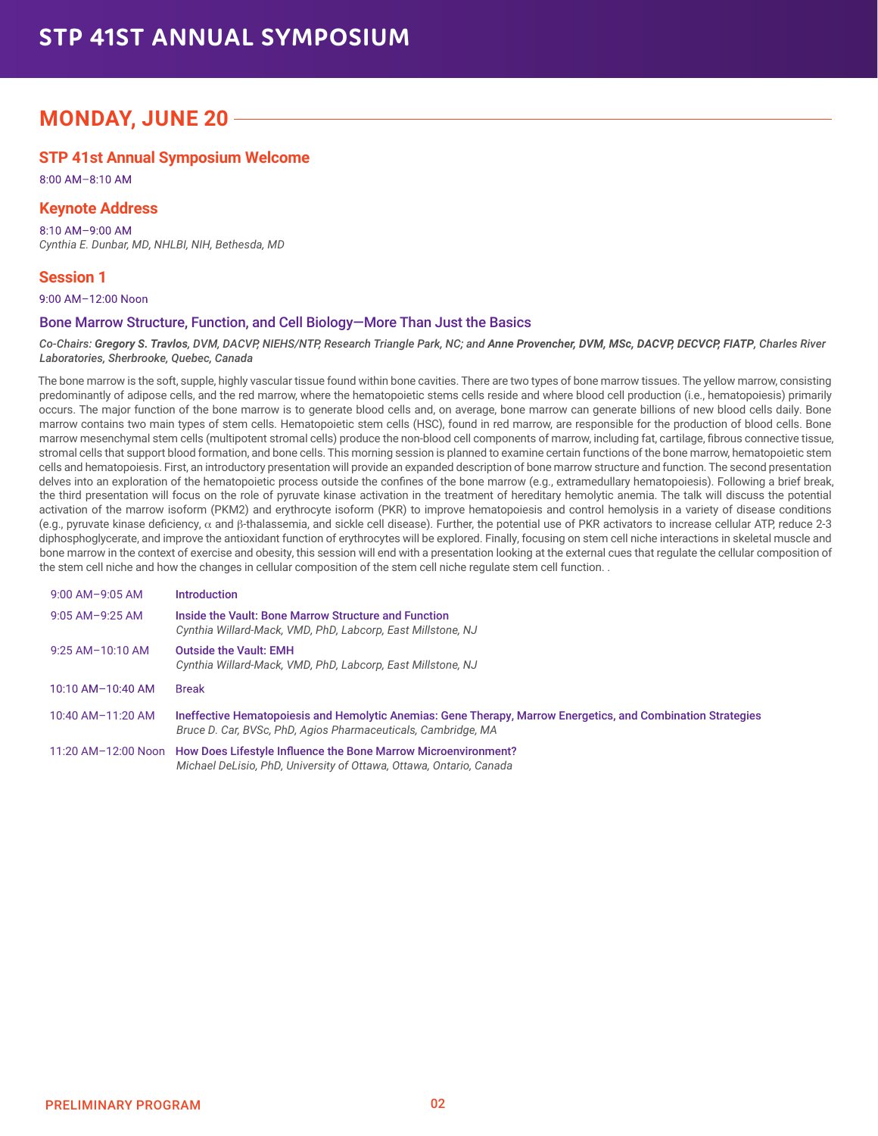# **STP 41ST ANNUAL SYMPOSIUM**

### **MONDAY, JUNE 20**

### **STP 41st Annual Symposium Welcome**

8:00 AM–8:10 AM

### **Keynote Address**

8:10 AM–9:00 AM *Cynthia E. Dunbar, MD, NHLBI, NIH, Bethesda, MD*

### **Session 1**

9:00 AM–12:00 Noon

### Bone Marrow Structure, Function, and Cell Biology—More Than Just the Basics

#### $Co$ -Chairs: Gregory S. Travlos, DVM, DACVP, NIEHS/NTP, Research Triangle Park, NC; and Anne Provencher, DVM, MSc, DACVP, DECVCP, FIATP, Charles River *Laboratories, Sherbrooke, Quebec, Canada*

The bone marrow is the soft, supple, highly vascular tissue found within bone cavities. There are two types of bone marrow tissues. The yellow marrow, consisting predominantly of adipose cells, and the red marrow, where the hematopoietic stems cells reside and where blood cell production (i.e., hematopoiesis) primarily occurs. The major function of the bone marrow is to generate blood cells and, on average, bone marrow can generate billions of new blood cells daily. Bone marrow contains two main types of stem cells. Hematopoietic stem cells (HSC), found in red marrow, are responsible for the production of blood cells. Bone marrow mesenchymal stem cells (multipotent stromal cells) produce the non-blood cell components of marrow, including fat, cartilage, fibrous connective tissue, stromal cells that support blood formation, and bone cells. This morning session is planned to examine certain functions of the bone marrow, hematopoietic stem cells and hematopoiesis. First, an introductory presentation will provide an expanded description of bone marrow structure and function. The second presentation delves into an exploration of the hematopoietic process outside the confines of the bone marrow (e.g., extramedullary hematopoiesis). Following a brief break, the third presentation will focus on the role of pyruvate kinase activation in the treatment of hereditary hemolytic anemia. The talk will discuss the potential activation of the marrow isoform (PKM2) and erythrocyte isoform (PKR) to improve hematopoiesis and control hemolysis in a variety of disease conditions (e.g., pyruvate kinase deficiency,  $\alpha$  and  $\beta$ -thalassemia, and sickle cell disease). Further, the potential use of PKR activators to increase cellular ATP, reduce 2-3 diphosphoglycerate, and improve the antioxidant function of erythrocytes will be explored. Finally, focusing on stem cell niche interactions in skeletal muscle and bone marrow in the context of exercise and obesity, this session will end with a presentation looking at the external cues that regulate the cellular composition of the stem cell niche and how the changes in cellular composition of the stem cell niche regulate stem cell function. .

| $9:00$ AM-9:05 AM   | <b>Introduction</b>                                                                                                                                                           |
|---------------------|-------------------------------------------------------------------------------------------------------------------------------------------------------------------------------|
| $9:05$ AM-9:25 AM   | Inside the Vault: Bone Marrow Structure and Function<br>Cynthia Willard-Mack, VMD, PhD, Labcorp, East Millstone, NJ                                                           |
| $9:25$ AM-10:10 AM  | <b>Outside the Vault: EMH</b><br>Cynthia Willard-Mack, VMD, PhD, Labcorp, East Millstone, NJ                                                                                  |
| $10:10$ AM-10:40 AM | <b>Break</b>                                                                                                                                                                  |
| 10:40 AM-11:20 AM   | Ineffective Hematopoiesis and Hemolytic Anemias: Gene Therapy, Marrow Energetics, and Combination Strategies<br>Bruce D. Car, BVSc, PhD, Agios Pharmaceuticals, Cambridge, MA |
| 11:20 AM-12:00 Noon | How Does Lifestyle Influence the Bone Marrow Microenvironment?<br>Michael DeLisio, PhD, University of Ottawa, Ottawa, Ontario, Canada                                         |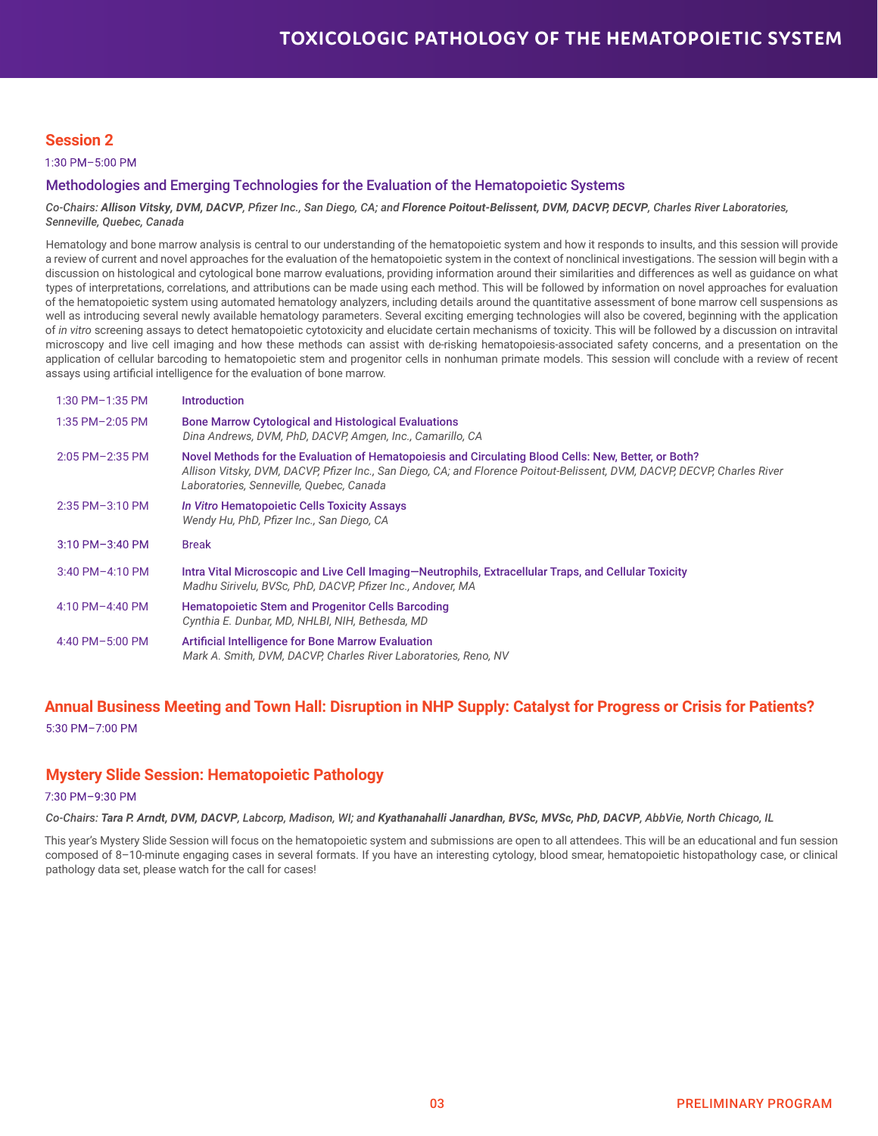### **Session 2**

1:30 PM–5:00 PM

### Methodologies and Emerging Technologies for the Evaluation of the Hematopoietic Systems

#### *Co-Chairs: Allison Vitsky, DVM, DACVP, Pfizer Inc., San Diego, CA; and Florence Poitout-Belissent, DVM, DACVP, DECVP, Charles River Laboratories, Senneville, Quebec, Canada*

Hematology and bone marrow analysis is central to our understanding of the hematopoietic system and how it responds to insults, and this session will provide a review of current and novel approaches for the evaluation of the hematopoietic system in the context of nonclinical investigations. The session will begin with a discussion on histological and cytological bone marrow evaluations, providing information around their similarities and differences as well as guidance on what types of interpretations, correlations, and attributions can be made using each method. This will be followed by information on novel approaches for evaluation of the hematopoietic system using automated hematology analyzers, including details around the quantitative assessment of bone marrow cell suspensions as well as introducing several newly available hematology parameters. Several exciting emerging technologies will also be covered, beginning with the application of *in vitro* screening assays to detect hematopoietic cytotoxicity and elucidate certain mechanisms of toxicity. This will be followed by a discussion on intravital microscopy and live cell imaging and how these methods can assist with de-risking hematopoiesis-associated safety concerns, and a presentation on the application of cellular barcoding to hematopoietic stem and progenitor cells in nonhuman primate models. This session will conclude with a review of recent assays using artificial intelligence for the evaluation of bone marrow.

| $1:30$ PM $-1:35$ PM | <b>Introduction</b>                                                                                                                                                                                                                                                          |
|----------------------|------------------------------------------------------------------------------------------------------------------------------------------------------------------------------------------------------------------------------------------------------------------------------|
| $1:35$ PM-2:05 PM    | <b>Bone Marrow Cytological and Histological Evaluations</b><br>Dina Andrews, DVM, PhD, DACVP, Amgen, Inc., Camarillo, CA                                                                                                                                                     |
| $2:05$ PM $-2:35$ PM | Novel Methods for the Evaluation of Hematopoiesis and Circulating Blood Cells: New, Better, or Both?<br>Allison Vitsky, DVM, DACVP, Pfizer Inc., San Diego, CA; and Florence Poitout-Belissent, DVM, DACVP, DECVP, Charles River<br>Laboratories, Senneville, Quebec, Canada |
| 2:35 PM-3:10 PM      | In Vitro Hematopoietic Cells Toxicity Assays<br>Wendy Hu, PhD, Pfizer Inc., San Diego, CA                                                                                                                                                                                    |
| $3:10$ PM-3:40 PM    | <b>Break</b>                                                                                                                                                                                                                                                                 |
| $3:40$ PM-4:10 PM    | Intra Vital Microscopic and Live Cell Imaging-Neutrophils, Extracellular Traps, and Cellular Toxicity<br>Madhu Sirivelu. BVSc. PhD. DACVP. Pfizer Inc Andover. MA                                                                                                            |
| $4:10$ PM $-4:40$ PM | <b>Hematopoietic Stem and Progenitor Cells Barcoding</b><br>Cynthia E. Dunbar, MD, NHLBI, NIH, Bethesda, MD                                                                                                                                                                  |
| 4:40 PM-5:00 PM      | <b>Artificial Intelligence for Bone Marrow Evaluation</b><br>Mark A. Smith, DVM, DACVP, Charles River Laboratories, Reno, NV                                                                                                                                                 |

# **Annual Business Meeting and Town Hall: Disruption in NHP Supply: Catalyst for Progress or Crisis for Patients?**

5:30 PM–7:00 PM

### **Mystery Slide Session: Hematopoietic Pathology**

7:30 PM–9:30 PM

*Co-Chairs: Tara P. Arndt, DVM, DACVP, Labcorp, Madison, WI; and Kyathanahalli Janardhan, BVSc, MVSc, PhD, DACVP, AbbVie, North Chicago, IL*

This year's Mystery Slide Session will focus on the hematopoietic system and submissions are open to all attendees. This will be an educational and fun session composed of 8–10-minute engaging cases in several formats. If you have an interesting cytology, blood smear, hematopoietic histopathology case, or clinical pathology data set, please watch for the call for cases!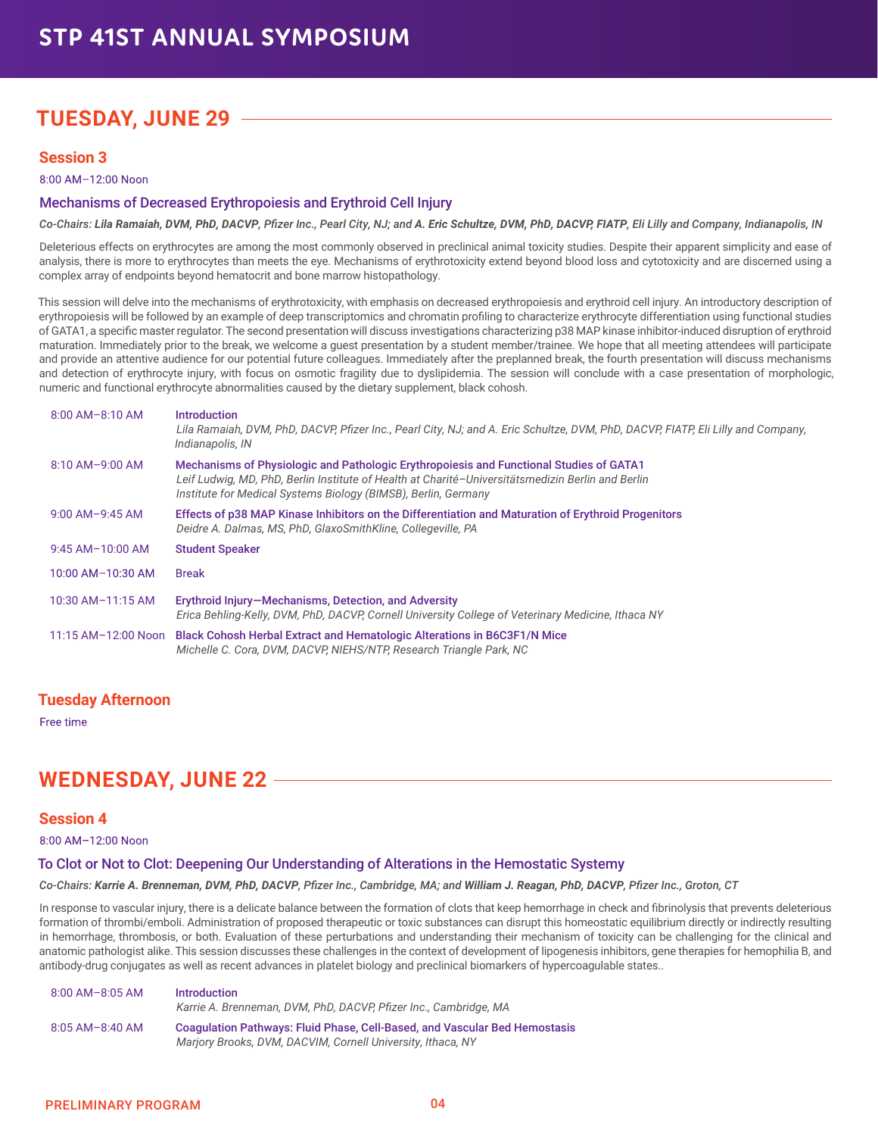# **TUESDAY, JUNE 29**

### **Session 3**

8:00 AM–12:00 Noon

### Mechanisms of Decreased Erythropoiesis and Erythroid Cell Injury

*Co-Chairs: Lila Ramaiah, DVM, PhD, DACVP, Pfizer Inc., Pearl City, NJ; and A. Eric Schultze, DVM, PhD, DACVP, FIATP, Eli Lilly and Company, Indianapolis, IN*

Deleterious effects on erythrocytes are among the most commonly observed in preclinical animal toxicity studies. Despite their apparent simplicity and ease of analysis, there is more to erythrocytes than meets the eye. Mechanisms of erythrotoxicity extend beyond blood loss and cytotoxicity and are discerned using a complex array of endpoints beyond hematocrit and bone marrow histopathology.

This session will delve into the mechanisms of erythrotoxicity, with emphasis on decreased erythropoiesis and erythroid cell injury. An introductory description of erythropoiesis will be followed by an example of deep transcriptomics and chromatin profiling to characterize erythrocyte differentiation using functional studies of GATA1, a specific master regulator. The second presentation will discuss investigations characterizing p38 MAP kinase inhibitor-induced disruption of erythroid maturation. Immediately prior to the break, we welcome a guest presentation by a student member/trainee. We hope that all meeting attendees will participate and provide an attentive audience for our potential future colleagues. Immediately after the preplanned break, the fourth presentation will discuss mechanisms and detection of erythrocyte injury, with focus on osmotic fragility due to dyslipidemia. The session will conclude with a case presentation of morphologic, numeric and functional erythrocyte abnormalities caused by the dietary supplement, black cohosh.

| $8:00$ AM-8:10 AM   | <b>Introduction</b><br>Lila Ramaiah, DVM, PhD, DACVP, Pfizer Inc., Pearl City, NJ; and A. Eric Schultze, DVM, PhD, DACVP, FIATP, Eli Lilly and Company,<br>Indianapolis, IN                                                                                    |
|---------------------|----------------------------------------------------------------------------------------------------------------------------------------------------------------------------------------------------------------------------------------------------------------|
| $8:10$ AM-9:00 AM   | Mechanisms of Physiologic and Pathologic Erythropoiesis and Functional Studies of GATA1<br>Leif Ludwig, MD, PhD, Berlin Institute of Health at Charité-Universitätsmedizin Berlin and Berlin<br>Institute for Medical Systems Biology (BIMSB), Berlin, Germany |
| $9:00$ AM-9:45 AM   | Effects of p38 MAP Kinase Inhibitors on the Differentiation and Maturation of Erythroid Progenitors<br>Deidre A. Dalmas, MS, PhD, GlaxoSmithKline, Collegeville, PA                                                                                            |
| 9:45 AM-10:00 AM    | <b>Student Speaker</b>                                                                                                                                                                                                                                         |
| 10:00 AM-10:30 AM   | <b>Break</b>                                                                                                                                                                                                                                                   |
| 10:30 AM-11:15 AM   | Erythroid Injury-Mechanisms, Detection, and Adversity<br>Erica Behling-Kelly, DVM, PhD, DACVP, Cornell University College of Veterinary Medicine, Ithaca NY                                                                                                    |
| 11:15 AM-12:00 Noon | <b>Black Cohosh Herbal Extract and Hematologic Alterations in B6C3F1/N Mice</b><br>Michelle C. Cora, DVM, DACVP, NIEHS/NTP, Research Triangle Park, NC                                                                                                         |

### **Tuesday Afternoon**

Free time

### **WEDNESDAY, JUNE 22**

#### **Session 4**

8:00 AM–12:00 Noon

### To Clot or Not to Clot: Deepening Our Understanding of Alterations in the Hemostatic Systemy

*Co-Chairs: Karrie A. Brenneman, DVM, PhD, DACVP, Pfizer Inc., Cambridge, MA; and William J. Reagan, PhD, DACVP, Pfizer Inc., Groton, CT*

In response to vascular injury, there is a delicate balance between the formation of clots that keep hemorrhage in check and fibrinolysis that prevents deleterious formation of thrombi/emboli. Administration of proposed therapeutic or toxic substances can disrupt this homeostatic equilibrium directly or indirectly resulting in hemorrhage, thrombosis, or both. Evaluation of these perturbations and understanding their mechanism of toxicity can be challenging for the clinical and anatomic pathologist alike. This session discusses these challenges in the context of development of lipogenesis inhibitors, gene therapies for hemophilia B, and antibody-drug conjugates as well as recent advances in platelet biology and preclinical biomarkers of hypercoagulable states..

| $8:00$ AM- $8:05$ AM | <b>Introduction</b><br>Karrie A. Brenneman, DVM, PhD, DACVP, Pfizer Inc., Cambridge, MA                                                          |
|----------------------|--------------------------------------------------------------------------------------------------------------------------------------------------|
| $8:05$ AM-8:40 AM    | <b>Coaquiation Pathways: Fluid Phase, Cell-Based, and Vascular Bed Hemostasis</b><br>Marjory Brooks, DVM, DACVIM, Cornell University, Ithaca, NY |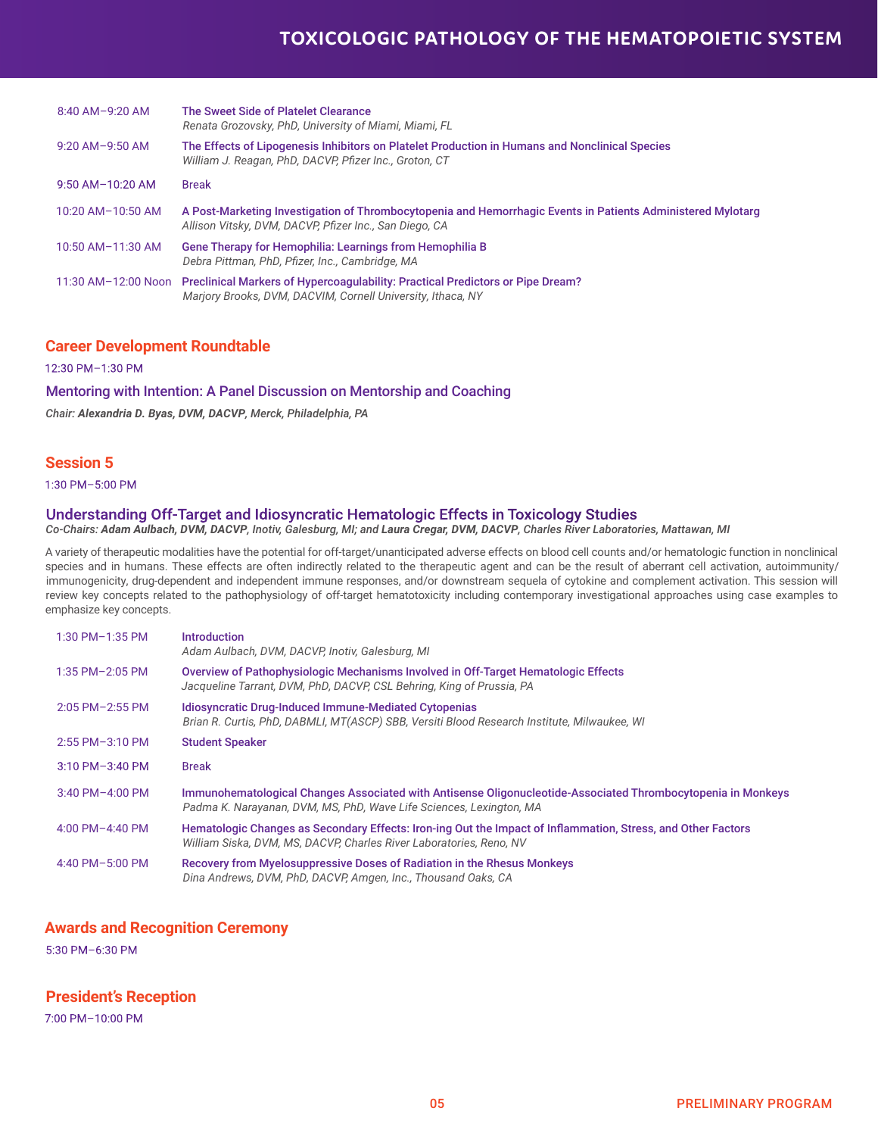### **TOXICOLOGIC PATHOLOGY OF THE HEMATOPOIETIC SYSTEM**

| $8:40$ AM-9:20 AM    | The Sweet Side of Platelet Clearance<br>Renata Grozovsky, PhD, University of Miami, Miami, FL                                                                         |
|----------------------|-----------------------------------------------------------------------------------------------------------------------------------------------------------------------|
| $9:20$ AM- $9:50$ AM | The Effects of Lipogenesis Inhibitors on Platelet Production in Humans and Nonclinical Species<br>William J. Reagan, PhD, DACVP, Pfizer Inc., Groton, CT              |
| $9:50$ AM-10:20 AM   | <b>Break</b>                                                                                                                                                          |
| 10:20 AM-10:50 AM    | A Post-Marketing Investigation of Thrombocytopenia and Hemorrhagic Events in Patients Administered Mylotarg<br>Allison Vitsky, DVM, DACVP, Pfizer Inc., San Diego, CA |
| $10:50$ AM-11:30 AM  | Gene Therapy for Hemophilia: Learnings from Hemophilia B<br>Debra Pittman, PhD, Pfizer, Inc., Cambridge, MA                                                           |
|                      | 11:30 AM-12:00 Noon Preclinical Markers of Hypercoagulability: Practical Predictors or Pipe Dream?<br>Marjory Brooks, DVM, DACVIM, Cornell University, Ithaca, NY     |

### **Career Development Roundtable**

12:30 PM–1:30 PM

#### Mentoring with Intention: A Panel Discussion on Mentorship and Coaching

*Chair: Alexandria D. Byas, DVM, DACVP, Merck, Philadelphia, PA*

### **Session 5**

1:30 PM–5:00 PM

### Understanding Off-Target and Idiosyncratic Hematologic Effects in Toxicology Studies

*Co-Chairs: Adam Aulbach, DVM, DACVP, Inotiv, Galesburg, MI; and Laura Cregar, DVM, DACVP, Charles River Laboratories, Mattawan, MI* 

A variety of therapeutic modalities have the potential for off-target/unanticipated adverse effects on blood cell counts and/or hematologic function in nonclinical species and in humans. These effects are often indirectly related to the therapeutic agent and can be the result of aberrant cell activation, autoimmunity/ immunogenicity, drug-dependent and independent immune responses, and/or downstream sequela of cytokine and complement activation. This session will review key concepts related to the pathophysiology of off-target hematotoxicity including contemporary investigational approaches using case examples to emphasize key concepts.

| 1:30 PM-1:35 PM      | Introduction<br>Adam Aulbach, DVM, DACVP, Inotiv, Galesburg, MI                                                                                                                     |
|----------------------|-------------------------------------------------------------------------------------------------------------------------------------------------------------------------------------|
| $1:35$ PM $-2:05$ PM | Overview of Pathophysiologic Mechanisms Involved in Off-Target Hematologic Effects<br>Jacqueline Tarrant, DVM, PhD, DACVP, CSL Behring, King of Prussia, PA                         |
| $2:05$ PM $-2:55$ PM | <b>Idiosyncratic Drug-Induced Immune-Mediated Cytopenias</b><br>Brian R. Curtis, PhD, DABMLI, MT(ASCP) SBB, Versiti Blood Research Institute, Milwaukee, WI                         |
| 2:55 PM-3:10 PM      | <b>Student Speaker</b>                                                                                                                                                              |
| $3:10$ PM $-3:40$ PM | <b>Break</b>                                                                                                                                                                        |
| $3:40$ PM $-4:00$ PM | Immunohematological Changes Associated with Antisense Oligonucleotide-Associated Thrombocytopenia in Monkeys<br>Padma K. Narayanan, DVM, MS, PhD, Wave Life Sciences, Lexington, MA |
| 4:00 PM $-4:40$ PM   | Hematologic Changes as Secondary Effects: Iron-ing Out the Impact of Inflammation, Stress, and Other Factors<br>William Siska, DVM, MS, DACVP, Charles River Laboratories, Reno, NV |
| 4:40 PM-5:00 PM      | Recovery from Myelosuppressive Doses of Radiation in the Rhesus Monkeys<br>Dina Andrews, DVM, PhD, DACVP, Amgen, Inc., Thousand Oaks, CA                                            |

### **Awards and Recognition Ceremony**

5:30 PM–6:30 PM

### **President's Reception**

7:00 PM–10:00 PM